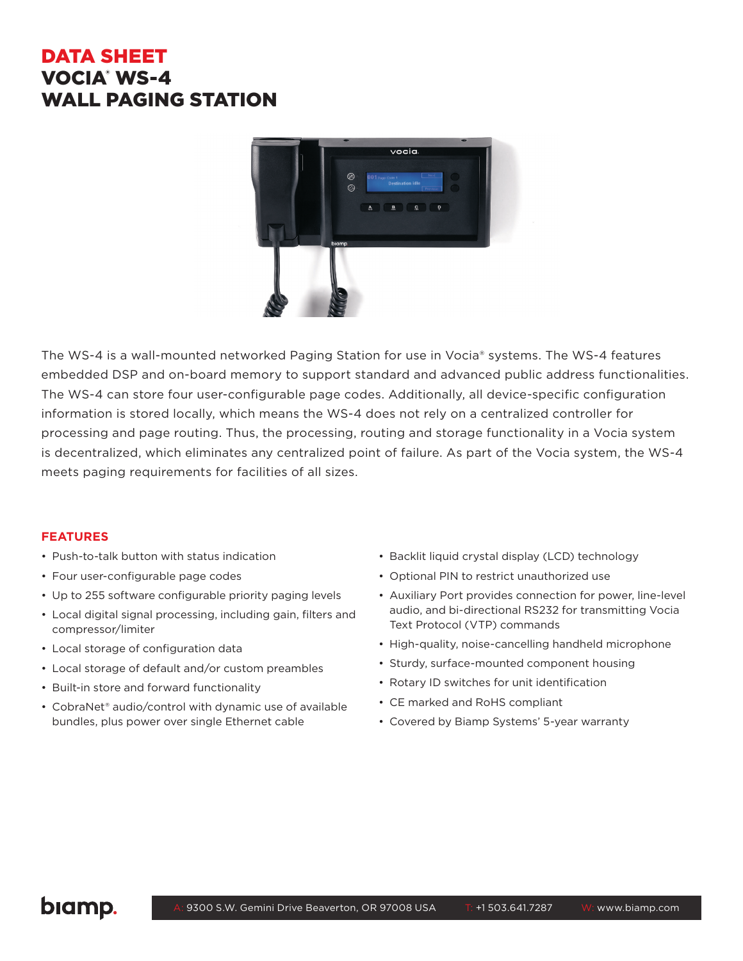# DATA SHEET VOCIA® WS-4 WALL PAGING STATION



The WS-4 is a wall-mounted networked Paging Station for use in Vocia® systems. The WS-4 features embedded DSP and on-board memory to support standard and advanced public address functionalities. The WS-4 can store four user-configurable page codes. Additionally, all device-specific configuration information is stored locally, which means the WS-4 does not rely on a centralized controller for processing and page routing. Thus, the processing, routing and storage functionality in a Vocia system is decentralized, which eliminates any centralized point of failure. As part of the Vocia system, the WS-4 meets paging requirements for facilities of all sizes.

## **FEATURES**

- Push-to-talk button with status indication
- Four user-configurable page codes
- Up to 255 software configurable priority paging levels
- Local digital signal processing, including gain, filters and compressor/limiter
- Local storage of configuration data
- Local storage of default and/or custom preambles
- Built-in store and forward functionality
- CobraNet® audio/control with dynamic use of available bundles, plus power over single Ethernet cable
- Backlit liquid crystal display (LCD) technology
- Optional PIN to restrict unauthorized use
- Auxiliary Port provides connection for power, line-level audio, and bi-directional RS232 for transmitting Vocia Text Protocol (VTP) commands
- High-quality, noise-cancelling handheld microphone
- Sturdy, surface-mounted component housing
- Rotary ID switches for unit identification
- CE marked and RoHS compliant
- Covered by Biamp Systems' 5-year warranty

biamp.